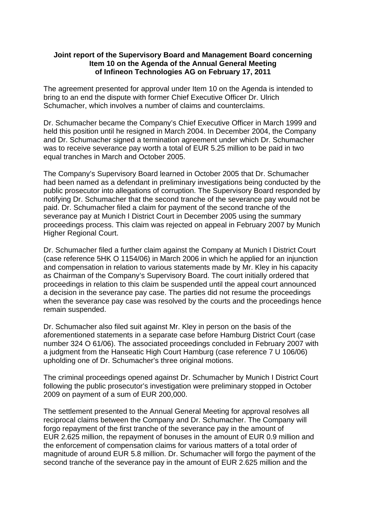## **Joint report of the Supervisory Board and Management Board concerning Item 10 on the Agenda of the Annual General Meeting of Infineon Technologies AG on February 17, 2011**

The agreement presented for approval under Item 10 on the Agenda is intended to bring to an end the dispute with former Chief Executive Officer Dr. Ulrich Schumacher, which involves a number of claims and counterclaims.

Dr. Schumacher became the Company's Chief Executive Officer in March 1999 and held this position until he resigned in March 2004. In December 2004, the Company and Dr. Schumacher signed a termination agreement under which Dr. Schumacher was to receive severance pay worth a total of EUR 5.25 million to be paid in two equal tranches in March and October 2005.

The Company's Supervisory Board learned in October 2005 that Dr. Schumacher had been named as a defendant in preliminary investigations being conducted by the public prosecutor into allegations of corruption. The Supervisory Board responded by notifying Dr. Schumacher that the second tranche of the severance pay would not be paid. Dr. Schumacher filed a claim for payment of the second tranche of the severance pay at Munich I District Court in December 2005 using the summary proceedings process. This claim was rejected on appeal in February 2007 by Munich Higher Regional Court.

Dr. Schumacher filed a further claim against the Company at Munich I District Court (case reference 5HK O 1154/06) in March 2006 in which he applied for an injunction and compensation in relation to various statements made by Mr. Kley in his capacity as Chairman of the Company's Supervisory Board. The court initially ordered that proceedings in relation to this claim be suspended until the appeal court announced a decision in the severance pay case. The parties did not resume the proceedings when the severance pay case was resolved by the courts and the proceedings hence remain suspended.

Dr. Schumacher also filed suit against Mr. Kley in person on the basis of the aforementioned statements in a separate case before Hamburg District Court (case number 324 O 61/06). The associated proceedings concluded in February 2007 with a judgment from the Hanseatic High Court Hamburg (case reference 7 U 106/06) upholding one of Dr. Schumacher's three original motions.

The criminal proceedings opened against Dr. Schumacher by Munich I District Court following the public prosecutor's investigation were preliminary stopped in October 2009 on payment of a sum of EUR 200,000.

The settlement presented to the Annual General Meeting for approval resolves all reciprocal claims between the Company and Dr. Schumacher. The Company will forgo repayment of the first tranche of the severance pay in the amount of EUR 2.625 million, the repayment of bonuses in the amount of EUR 0.9 million and the enforcement of compensation claims for various matters of a total order of magnitude of around EUR 5.8 million. Dr. Schumacher will forgo the payment of the second tranche of the severance pay in the amount of EUR 2.625 million and the